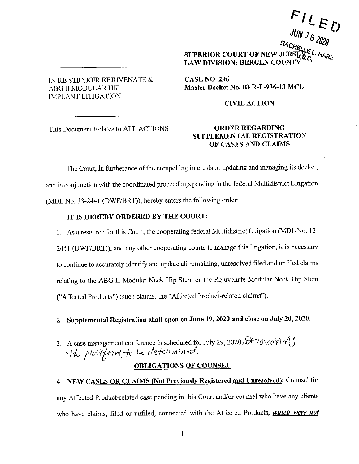# IN RE STRYKER REJUVENATE  $\&$ ABG II MODULAR HIP IMPLANT LITIGATION

----------------

**Rlic1t1:,** *1 s 2020*  **SUPERIOR COURT OF NEW LAW DIVISION: BERGEN CO** 

 $FILF$ 

 $JUN$   $I_{R}$   $\sim$   $D$ 

**CASENO.296 Master Docket No. BER-L-936-13 MCL** 

#### **CIVIL ACTION**

This Document Relates to ALL ACTIONS

## **ORDER REGARDING SUPPLEMENTAL REGISTRATION OF CASES AND CLAIMS**

The Court, in furtherance of the compelling interests of updating and managing its docket, and in conjunction with the coordinated proceedings pending in the federal Multidistrict Litigation (MDL No. 13-2441 (DWF/BRT)), hereby enters the following order:

## **IT IS HEREBY ORDERED BY THE COURT:**

1. As a resource for this Court, the cooperating federal Multidistrict Litigation (MDL No. 13- 2441 (DWF/BRT)), and any other cooperating courts to manage this litigation, it is necessary to continue to accurately identify and update all remaining, unresolved filed and unfiled claims relating to the ABG II Modular Neck Hip Stem or the Rejuvenate Modular Neck Hip Stem ("Affected Products") (such claims, the "Affected Product-related claims").

2. **Supplemental Registration shall open on June 19, 2020 and close on July 20, 2020.** 

3. A case management conference is scheduled for July 29, 2020. $\mathcal{F}_1$ 0',  $\mathcal{O} \mathcal{H} \mathcal{N} \mathcal{G}$ <br> $\mathcal{H}_\lambda$   $\rho$  lost  $\mathcal{F}_\alpha$  in the determined.

# **OBLIGATIONS OF COUNSEL**

4. **NEW CASES OR CLAIMS (Not Previously Registered and Unresolved):** Counsel for any Affected Product-related case pending in this Court and/or counsel who have any clients who have claims, filed or unfiled, connected with the Affected Products, *which were not* 

1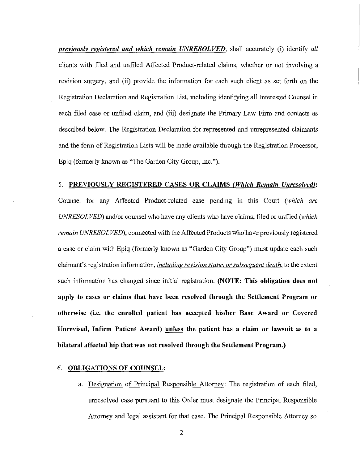*previously registered and which remain UNRESOLVED*, shall accurately (i) identify all clients with filed and untiled Affected Product-related claims, whether or not involving a revision surgery, and (ii) provide the information for each such client as set forth on the Registration Declaration and Registration List, including identifying all Interested Counsel in each filed case or unfiled claim, and (iii) designate the Primary Law Firm and contacts as described below. The Registration Declaration for represented and unrepresented claimants and the form of Registration Lists will be made available through the Registration Processor, Epiq (formerly known as "The Garden City Group, Inc.").

5. **PREVIOUSLY REGISTERED CASES OR CLAIMS** *(Wlticlt Remain Unresolved):*  Counsel for any Affected Product-related case pending in this Court *(which are UNRESOLVED)* and/or counsel who have any clients who have claims, filed or unfiled *('which remain UNRESOLVED),* connected with the Affected Products who have previously registered a case or claim with Epiq (formerly known as "Garden City Group") must update each such claimant's registration information, *including revision status or subsequent death,* to the extent such information has changed since initial registration. **(NOTE: This obligation does not apply to cases or claims that have been resolved through the Settlement Program or otherwise (i.e. the enrolled patient has accepted his/her Base Award or Covered Unrevised, Infirm Patient Award) unless the patient has a claim or lawsuit as to a bilateral affected hip that was not resolved through the Settlement Program.)** 

### 6. **OBLIGATIONS OF COUNSEL:**

a. Designation of Principal Responsible Attorney: The registration of each filed, unresolved case pursuant to this Order must designate the Principal Responsible Attorney and legal assistant for that case. The Principal Responsible Attorney so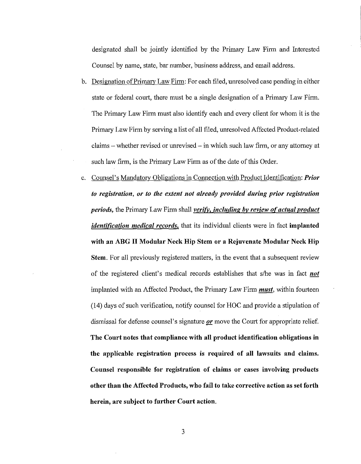designated shall be jointly identified by the Primary Law Firm and Interested Counsel by name, state, bar number, business address, and email address.

- b. Designation of Primary Law Firm: For each filed, unresolved case pending in either state or federal court, there must be a single designation of a Primary Law Firm. The Primary Law Firm must also identify each and every client for whom it is the Primary Law Firm by serving a list of all filed, unresolved Affected Product-related claims - whether revised or unrevised - in which such law firm, or any attorney at such law firm, is the Primary Law Firm as of the date of this Order.
- c. Counsel's Mandatory Obligations in Connection with Product Identification: *Prior to registration, or to the extent not already provided during prior registration periods,* the Primary Law Firm shall *verify, including* **by** *review of actual product identification medical records,* that its individual clients were in fact **implanted with an ABG** II **Modular Neck Hip Stem or a Rejuvenate Modular Neck Hip Stem.** For all previously registered matters, in the event that a subsequent review of the registered client's medical records establishes that s/he was in fact *not*  implanted with an Affected Product, the Primary Law Firm *must,* within fourteen (14) days of such verification, notify counsel for HOC and provide a stipulation of dismissal for defense counsel's signature *or* move the Court for appropriate relief. **The Court notes that compliance with all product identification obligations in the applicable registration process is required of all lawsuits and claims. Counsel responsible for registration of claims or cases involving products other than the Affected Products, who fail to take corrective action as set forth herein, are subject to further Court action.**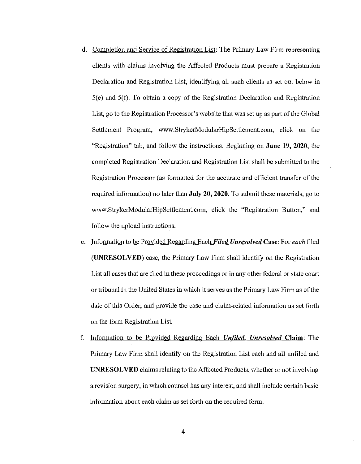- d. Completion and Service of Registration List: The Primary Law Firm representing clients with claims involving the Affected Products must prepare a Registration Declaration and Registration List, identifying all such clients as set out below in S(e) and S(f). To obtain a copy of the Registration Declaration and Registration List, go to the Registration Processor's website that was set up as part of the Global Settlement Program, www.StrykerModularHipSettlement.com, click on the "Registration" tab, and follow the instructions. Beginning on **June 19, 2020,** the completed Registration Declaration and Registration List shall be submitted to the Registration Processor (as formatted for the accurate and efficient transfer of the required information) no later than **July 20, 2020.** To submit these materials, go to www.StrykerModularHipSettlement.com, click the "Registration Button," and follow the upload instructions.
- e. Information to be Provided Regarding Each *Filed Unresolved* **Case:** For *each* filed **(UNRESOLVED)** case, the Primary Law Firm shall identify on the Registration List all cases that are filed in these proceedings or in any other federal or state court or tribunal in the United States in which it serves as the Primary Law Firm as of the date of this Order, and provide the case and claim-related information as set forth on the form Registration List.
- f. Information to be Provided Regarding Each *Untiled, Unresolved* **Claim:** The Primary Law Firm shall identify on the Registration List each and all unfiled and **UNRESOLVED** claims relating to the Affected Products, whether or not involving a revision surgery, in which counsel has any interest, and shall include certain basic information about each claim as set forth on the required form.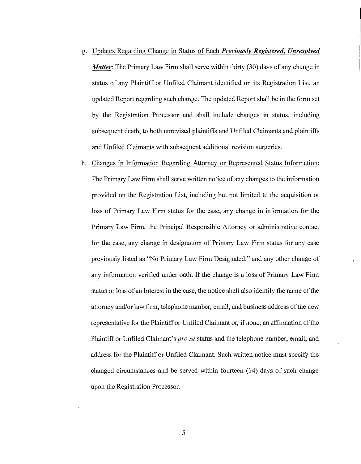- g. Updates Regarding Change in Status of Each *Previously Registered, Unresolved Matter:* The Primary Law Firm shall serve within thirty (30) days of any change in status of any Plaintiff or Unfiled Claimant identified on its Registration List, an updated Report regarding such change. The updated Report shall be in the form set by the Registration Processor and shall include changes in status, including subsequent death, to both unrevised plaintiffs and Untiled Claimants and plaintiffs and Unfiled Claimants with subsequent additional revision surgeries.
- h. Changes in Information Regarding Attorney or Represented Status Information: The Primary Law Firm shall serve written notice of any changes to the information provided on the Registration List, including but not limited to the acquisition or loss of Primary Law Firm status for the case, any change in information for the Primary Law Firm, the Principal Responsible Attorney or administrative contact for the case, any change in designation of Primary Law Firm status for any case previously listed as "No Primary Law Firm Designated," and any other change of any information verified under oath. If the change is a loss of Primary Law Firm status or loss of an Interest in the case, the notice shall also identify the name of the attorney and/or law firm, telephone number, email, and business address of the new representative for the Plaintiff or Unfiled Claimant or, if none, an affirmation of the Plaintiff or Unfiled Claimant's *prose* status and the telephone number, email, and address for the Plaintiff or Unfiled Claimant. Such written notice must specify the changed circumstances and be served within fourteen (14) days of such change upon the Registration Processor.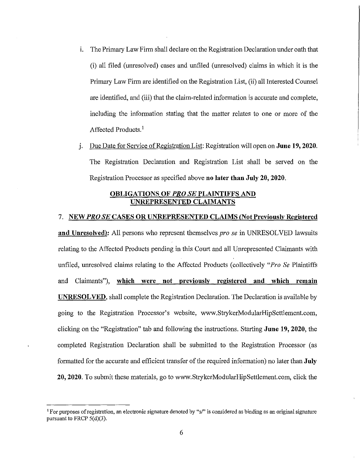- 1. The Primary Law Firm shall declare on the Registration Declaration under oath that (i) all filed (unresolved) cases and unfiled (unresolved) claims in which it is the Primary Law Firm are identified on the Registration List, (ii) all Interested Counsel are identified, and (iii) that the claim-related information is accurate and complete, including the information stating that the matter relates to one or more of the Affected Products.<sup>1</sup>
- J. Due Date for Service of Registration List: Registration will open on **June 19, 2020.**  The Registration Declaration and Registration List shall be served on the Registration Processor as specified above **no later than July 20, 2020.**

### **OBLIGATIONS OF** *PRO SE* **PLAINTIFFS AND UNREPRESENTED CLAIMANTS**

# 7. **NEW** *PRO SE* **CASES OR UNREPRESENTED CLAIMS (Not Previously Registered**

**and Unresolved):** All persons who represent themselves *pro se* in UNRESOLVED lawsuits relating to the Affected Products pending in this Court and all Unrepresented Claimants with unfiled, unresolved claims relating to the Affected Products ( collectively *"Pro Se* Plaintiffs and Claimants"), **which were not previously registered and which remain UNRESOLVED,** shall complete the Registration Declaration. The Declaration is available by going to the Registration Processor's website, www.StrykerModularHipSettlement.com, clicking on the "Registration" tab and following the instructions. Starting **June 19, 2020,** the completed Registration Declaration shall be submitted to the Registration Processor (as formatted for the accurate and efficient transfer of the required information) no later than **July 20, 2020.** To submit these materials, go to www.StrykerModularHipSettlement.com, click the

<sup>1</sup>**For purposes of registration, an electronic signature denoted by "s/" is considered as binding as an original signature**  pursuant to FRCP  $5(d)(3)$ .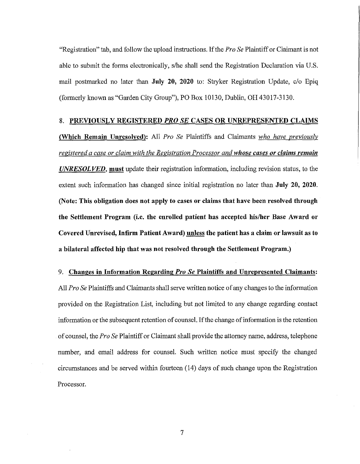"Registration" tab, and follow the upload instructions. If the *Pro Se* Plaintiff or Claimant is not able to submit the forms electronically, s/he shall send the Registration Declaration via U.S. mail postmarked no later than **July 20, 2020** to: Stryker Registration Update, c/o Epiq (formerly known as "Garden City Group"), PO Box 10130, Dublin, OH 43017-3130.

#### **8. PREVIOUSLY REGISTERED** *PRO SE* **CASES OR UNREPRESENTED CLAIMS**

**(Which Remain Unresolved):** All *Pro Se* Plaintiffs and Claimants *who have previously registered a case or claim with the Registration Processor and whose cases or claims remain UNRESOLVED,* **must** update their registration information, including revision status, to the extent such information has changed since initial registration no later than **July 20, 2020. (Note: This obligation does not apply to cases or claims that have been resolved through the Settlement Program (i.e. the enrolled patient has accepted his/her Base Award or Covered Unrevised, Infirm Patient Award) unless the patient has a claim or lawsuit as to a bilateral affected hip that was not resolved through the Settlement Program.)** 

9. **Changes in Information Regarding** *Pro Se* **Plaintiffs and Unrepresented Claimants:**  All *Pro Se* Plaintiffs and Claimants shall serve written notice of any changes to the information provided on the Registration List, including but not limited to any change regarding contact information or the subsequent retention of counsel. If the change of information is the retention of counsel, the *Pro Se* Plaintiff or Claimant shall provide the attorney name, address, telephone number, and email address for counsel. Such written notice must specify the changed circumstances and be served within fourteen (14) days of such change upon the Registration Processor.

7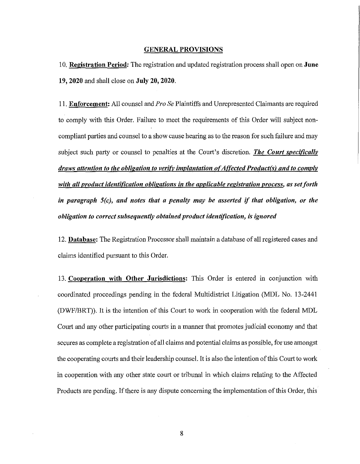### **GENERAL PROVISIONS**

I 0. **Registration Period:** The registration and updated registration process shall open on **June 19, 2020** and shall close on **July 20, 2020.** 

11. **Enforcement:** All counsel and *Pro Se* Plaintiffs and Umepresented Claimants are required to comply with this Order. Failure to meet the requirements of this Order will subject noncompliant parties and counsel to a show cause hearing as to the reason for such failure and may subject such party or counsel to penalties at the Court's discretion. *The Court specifically draws attention to the obligation to verify implantation of Affected Product(s) and to comply with all product identification obligations in the applicable registration process, as set forth in paragraph S(c), and notes that a penalty may be asserted* if *that obligation, or the obligation to correct subsequently obtained product identification,* is *ignored* 

12. **Database:** The Registration Processor shall maintain a database of all registered cases and claims identified pursuant to this Order.

13. **Cooperation with Other Jurisdictions:** This Order is entered in conjunction with coordinated proceedings pending in the federal Multidistrict Litigation (MDL No. 13-2441 (DWF/BRT)). It is the intention of this Court to work in cooperation with the federal MDL Court and any other participating courts in a manner that promotes judicial economy and that secures as complete a registration of all claims and potential claims as possible, for use amongst the cooperating courts and their leadership counsel. It is also the intention of this Court to work in cooperation with any other state court or tribunal in which claims relating to the Affected Products are pending. If there is any dispute concerning the implementation of this Order, this